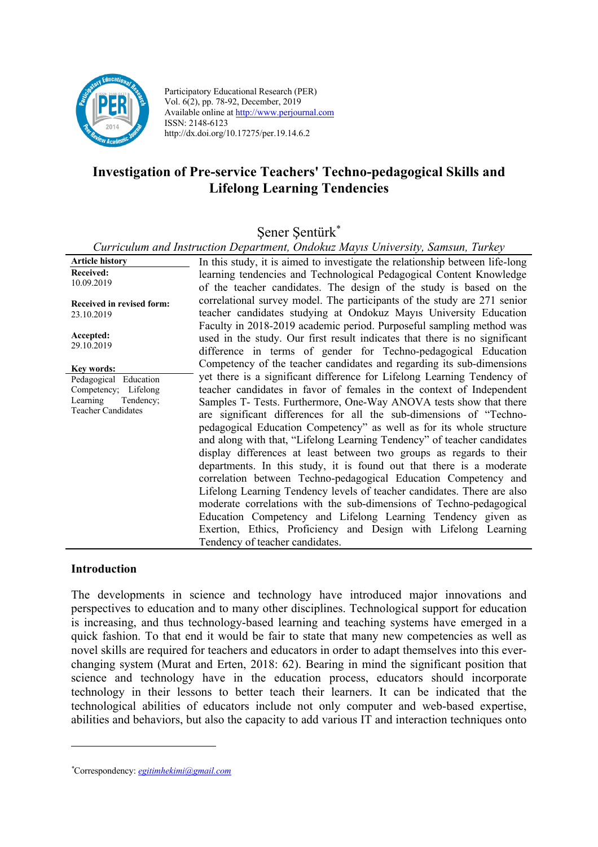

Participatory Educational Research (PER) Vol. 6(2), pp. 78-92, December, 2019 Available online at http://www.perjournal.com ISSN: 2148-6123 http://dx.doi.org/10.17275/per.19.14.6.2

# **Investigation of Pre-service Teachers' Techno-pedagogical Skills and Lifelong Learning Tendencies**

Şener Şentürk\*

*Curriculum and Instruction Department, Ondokuz Mayıs University, Samsun, Turkey*

| <b>Article history</b>                  | In this study, it is aimed to investigate the relationship between life-long                                                                                                                                         |
|-----------------------------------------|----------------------------------------------------------------------------------------------------------------------------------------------------------------------------------------------------------------------|
| <b>Received:</b>                        | learning tendencies and Technological Pedagogical Content Knowledge                                                                                                                                                  |
| 10.09.2019                              | of the teacher candidates. The design of the study is based on the                                                                                                                                                   |
| Received in revised form:<br>23.10.2019 | correlational survey model. The participants of the study are 271 senior<br>teacher candidates studying at Ondokuz Mayıs University Education                                                                        |
| Accepted:<br>29.10.2019                 | Faculty in 2018-2019 academic period. Purposeful sampling method was<br>used in the study. Our first result indicates that there is no significant<br>difference in terms of gender for Techno-pedagogical Education |
| <b>Key words:</b>                       | Competency of the teacher candidates and regarding its sub-dimensions                                                                                                                                                |
| Pedagogical<br>Education                | yet there is a significant difference for Lifelong Learning Tendency of                                                                                                                                              |
| Competency; Lifelong                    | teacher candidates in favor of females in the context of Independent                                                                                                                                                 |
| Learning<br>Tendency;                   | Samples T- Tests. Furthermore, One-Way ANOVA tests show that there                                                                                                                                                   |
| <b>Teacher Candidates</b>               | are significant differences for all the sub-dimensions of "Techno-                                                                                                                                                   |
|                                         | pedagogical Education Competency" as well as for its whole structure                                                                                                                                                 |
|                                         | and along with that, "Lifelong Learning Tendency" of teacher candidates                                                                                                                                              |
|                                         | display differences at least between two groups as regards to their                                                                                                                                                  |
|                                         | departments. In this study, it is found out that there is a moderate                                                                                                                                                 |
|                                         | correlation between Techno-pedagogical Education Competency and                                                                                                                                                      |
|                                         | Lifelong Learning Tendency levels of teacher candidates. There are also                                                                                                                                              |
|                                         | moderate correlations with the sub-dimensions of Techno-pedagogical                                                                                                                                                  |
|                                         | Education Competency and Lifelong Learning Tendency given as                                                                                                                                                         |
|                                         | Exertion, Ethics, Proficiency and Design with Lifelong Learning                                                                                                                                                      |
|                                         | Tendency of teacher candidates.                                                                                                                                                                                      |
|                                         |                                                                                                                                                                                                                      |

#### **Introduction**

The developments in science and technology have introduced major innovations and perspectives to education and to many other disciplines. Technological support for education is increasing, and thus technology-based learning and teaching systems have emerged in a quick fashion. To that end it would be fair to state that many new competencies as well as novel skills are required for teachers and educators in order to adapt themselves into this everchanging system (Murat and Erten, 2018: 62). Bearing in mind the significant position that science and technology have in the education process, educators should incorporate technology in their lessons to better teach their learners. It can be indicated that the technological abilities of educators include not only computer and web-based expertise, abilities and behaviors, but also the capacity to add various IT and interaction techniques onto

*<sup>\*</sup>* Correspondency: *egitimhekimi@gmail.com*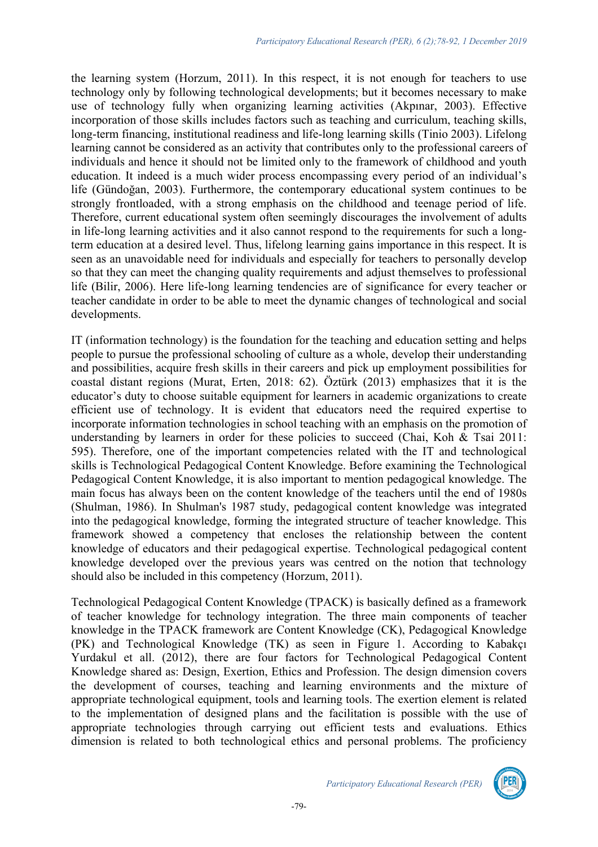the learning system (Horzum, 2011). In this respect, it is not enough for teachers to use technology only by following technological developments; but it becomes necessary to make use of technology fully when organizing learning activities (Akpınar, 2003). Effective incorporation of those skills includes factors such as teaching and curriculum, teaching skills, long-term financing, institutional readiness and life-long learning skills (Tinio 2003). Lifelong learning cannot be considered as an activity that contributes only to the professional careers of individuals and hence it should not be limited only to the framework of childhood and youth education. It indeed is a much wider process encompassing every period of an individual's life (Gündoğan, 2003). Furthermore, the contemporary educational system continues to be strongly frontloaded, with a strong emphasis on the childhood and teenage period of life. Therefore, current educational system often seemingly discourages the involvement of adults in life-long learning activities and it also cannot respond to the requirements for such a longterm education at a desired level. Thus, lifelong learning gains importance in this respect. It is seen as an unavoidable need for individuals and especially for teachers to personally develop so that they can meet the changing quality requirements and adjust themselves to professional life (Bilir, 2006). Here life-long learning tendencies are of significance for every teacher or teacher candidate in order to be able to meet the dynamic changes of technological and social developments.

IT (information technology) is the foundation for the teaching and education setting and helps people to pursue the professional schooling of culture as a whole, develop their understanding and possibilities, acquire fresh skills in their careers and pick up employment possibilities for coastal distant regions (Murat, Erten, 2018: 62). Öztürk (2013) emphasizes that it is the educator's duty to choose suitable equipment for learners in academic organizations to create efficient use of technology. It is evident that educators need the required expertise to incorporate information technologies in school teaching with an emphasis on the promotion of understanding by learners in order for these policies to succeed (Chai, Koh & Tsai 2011: 595). Therefore, one of the important competencies related with the IT and technological skills is Technological Pedagogical Content Knowledge. Before examining the Technological Pedagogical Content Knowledge, it is also important to mention pedagogical knowledge. The main focus has always been on the content knowledge of the teachers until the end of 1980s (Shulman, 1986). In Shulman's 1987 study, pedagogical content knowledge was integrated into the pedagogical knowledge, forming the integrated structure of teacher knowledge. This framework showed a competency that encloses the relationship between the content knowledge of educators and their pedagogical expertise. Technological pedagogical content knowledge developed over the previous years was centred on the notion that technology should also be included in this competency (Horzum, 2011).

Technological Pedagogical Content Knowledge (TPACK) is basically defined as a framework of teacher knowledge for technology integration. The three main components of teacher knowledge in the TPACK framework are Content Knowledge (CK), Pedagogical Knowledge (PK) and Technological Knowledge (TK) as seen in Figure 1. According to Kabakçı Yurdakul et all. (2012), there are four factors for Technological Pedagogical Content Knowledge shared as: Design, Exertion, Ethics and Profession. The design dimension covers the development of courses, teaching and learning environments and the mixture of appropriate technological equipment, tools and learning tools. The exertion element is related to the implementation of designed plans and the facilitation is possible with the use of appropriate technologies through carrying out efficient tests and evaluations. Ethics dimension is related to both technological ethics and personal problems. The proficiency

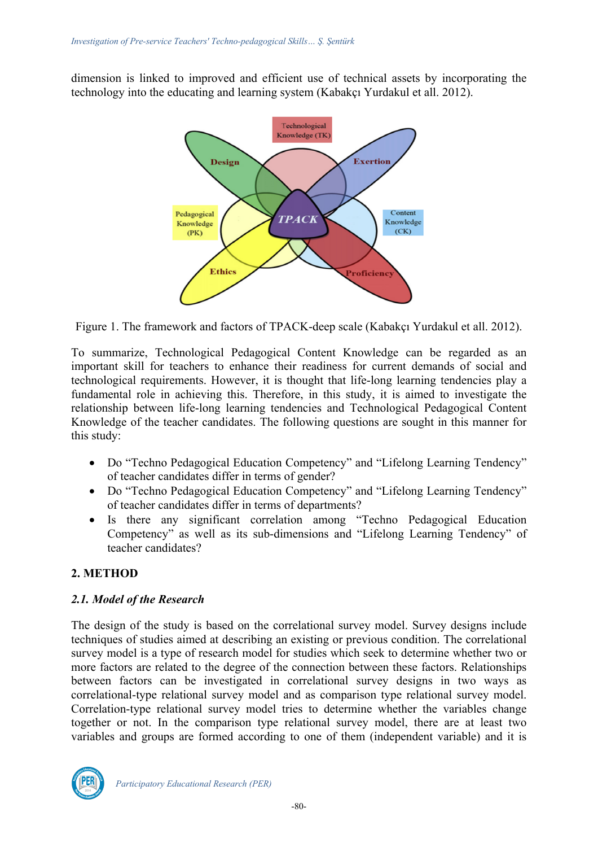dimension is linked to improved and efficient use of technical assets by incorporating the technology into the educating and learning system (Kabakçı Yurdakul et all. 2012).



Figure 1. The framework and factors of TPACK-deep scale (Kabakçı Yurdakul et all. 2012).

To summarize, Technological Pedagogical Content Knowledge can be regarded as an important skill for teachers to enhance their readiness for current demands of social and technological requirements. However, it is thought that life-long learning tendencies play a fundamental role in achieving this. Therefore, in this study, it is aimed to investigate the relationship between life-long learning tendencies and Technological Pedagogical Content Knowledge of the teacher candidates. The following questions are sought in this manner for this study:

- Do "Techno Pedagogical Education Competency" and "Lifelong Learning Tendency" of teacher candidates differ in terms of gender?
- Do "Techno Pedagogical Education Competency" and "Lifelong Learning Tendency" of teacher candidates differ in terms of departments?
- Is there any significant correlation among "Techno Pedagogical Education Competency" as well as its sub-dimensions and "Lifelong Learning Tendency" of teacher candidates?

# **2. METHOD**

### *2.1. Model of the Research*

The design of the study is based on the correlational survey model. Survey designs include techniques of studies aimed at describing an existing or previous condition. The correlational survey model is a type of research model for studies which seek to determine whether two or more factors are related to the degree of the connection between these factors. Relationships between factors can be investigated in correlational survey designs in two ways as correlational-type relational survey model and as comparison type relational survey model. Correlation-type relational survey model tries to determine whether the variables change together or not. In the comparison type relational survey model, there are at least two variables and groups are formed according to one of them (independent variable) and it is

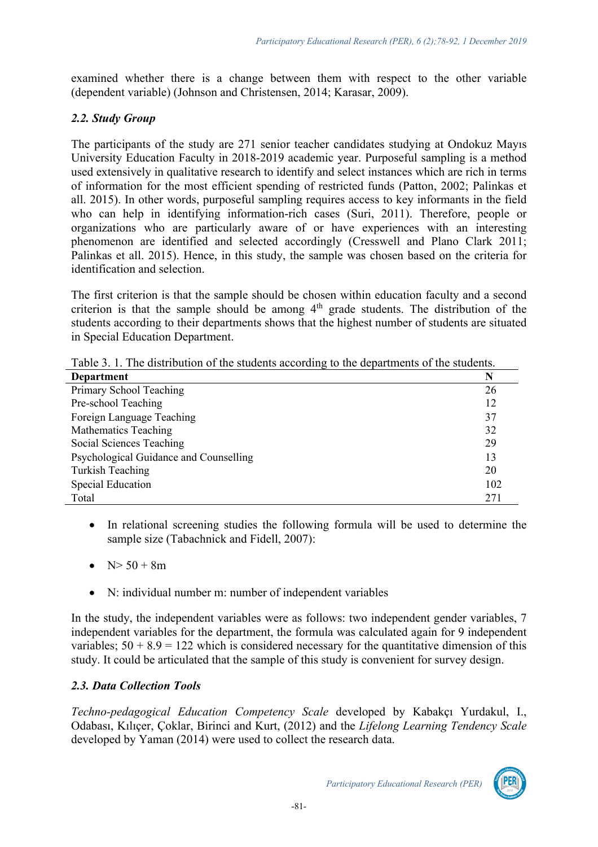examined whether there is a change between them with respect to the other variable (dependent variable) (Johnson and Christensen, 2014; Karasar, 2009).

## *2.2. Study Group*

The participants of the study are 271 senior teacher candidates studying at Ondokuz Mayıs University Education Faculty in 2018-2019 academic year. Purposeful sampling is a method used extensively in qualitative research to identify and select instances which are rich in terms of information for the most efficient spending of restricted funds (Patton, 2002; Palinkas et all. 2015). In other words, purposeful sampling requires access to key informants in the field who can help in identifying information-rich cases (Suri, 2011). Therefore, people or organizations who are particularly aware of or have experiences with an interesting phenomenon are identified and selected accordingly (Cresswell and Plano Clark 2011; Palinkas et all. 2015). Hence, in this study, the sample was chosen based on the criteria for identification and selection.

The first criterion is that the sample should be chosen within education faculty and a second criterion is that the sample should be among  $4<sup>th</sup>$  grade students. The distribution of the students according to their departments shows that the highest number of students are situated in Special Education Department.

|  | Table 3. 1. The distribution of the students according to the departments of the students. |  |  |  |  |
|--|--------------------------------------------------------------------------------------------|--|--|--|--|
|  |                                                                                            |  |  |  |  |

| Department                             | N   |
|----------------------------------------|-----|
| Primary School Teaching                | 26  |
| Pre-school Teaching                    | 12  |
| Foreign Language Teaching              | 37  |
| <b>Mathematics Teaching</b>            | 32  |
| Social Sciences Teaching               | 29  |
| Psychological Guidance and Counselling | 13  |
| Turkish Teaching                       | 20  |
| Special Education                      | 102 |
| Total                                  | 271 |

- In relational screening studies the following formula will be used to determine the sample size (Tabachnick and Fidell, 2007):
- $N> 50 + 8m$
- N: individual number m: number of independent variables

In the study, the independent variables were as follows: two independent gender variables, 7 independent variables for the department, the formula was calculated again for 9 independent variables;  $50 + 8.9 = 122$  which is considered necessary for the quantitative dimension of this study. It could be articulated that the sample of this study is convenient for survey design.

# *2.3. Data Collection Tools*

*Techno-pedagogical Education Competency Scale* developed by Kabakçı Yurdakul, I., Odabası, Kılıçer, Çoklar, Birinci and Kurt, (2012) and the *Lifelong Learning Tendency Scale*  developed by Yaman (2014) were used to collect the research data.

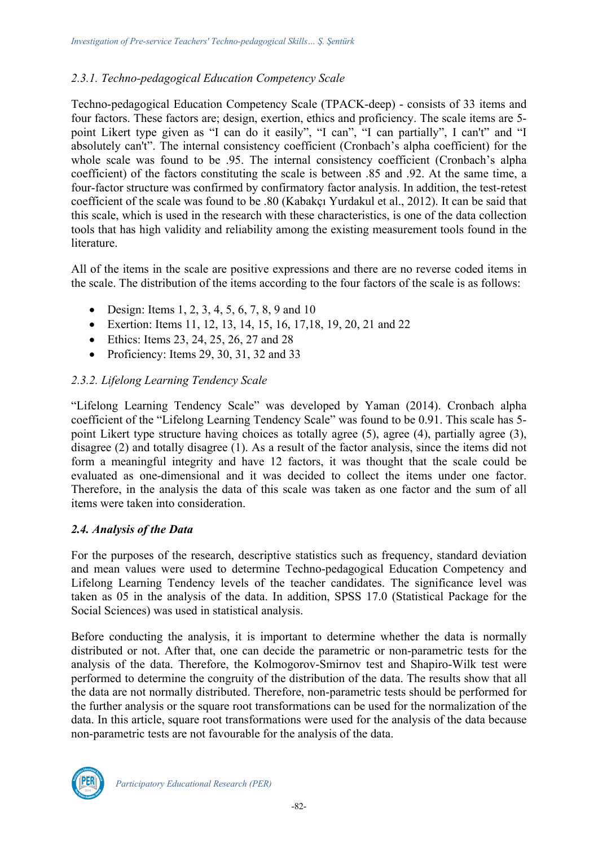# *2.3.1. Techno-pedagogical Education Competency Scale*

Techno-pedagogical Education Competency Scale (TPACK-deep) - consists of 33 items and four factors. These factors are; design, exertion, ethics and proficiency. The scale items are 5 point Likert type given as "I can do it easily", "I can", "I can partially", I can't" and "I absolutely can't". The internal consistency coefficient (Cronbach's alpha coefficient) for the whole scale was found to be .95. The internal consistency coefficient (Cronbach's alpha coefficient) of the factors constituting the scale is between .85 and .92. At the same time, a four-factor structure was confirmed by confirmatory factor analysis. In addition, the test-retest coefficient of the scale was found to be .80 (Kabakçı Yurdakul et al., 2012). It can be said that this scale, which is used in the research with these characteristics, is one of the data collection tools that has high validity and reliability among the existing measurement tools found in the literature.

All of the items in the scale are positive expressions and there are no reverse coded items in the scale. The distribution of the items according to the four factors of the scale is as follows:

- Design: Items 1, 2, 3, 4, 5, 6, 7, 8, 9 and 10
- Exertion: Items 11, 12, 13, 14, 15, 16, 17, 18, 19, 20, 21 and 22
- Ethics: Items 23, 24, 25, 26, 27 and 28
- Proficiency: Items  $29, 30, 31, 32$  and  $33$

## *2.3.2. Lifelong Learning Tendency Scale*

"Lifelong Learning Tendency Scale" was developed by Yaman (2014). Cronbach alpha coefficient of the "Lifelong Learning Tendency Scale" was found to be 0.91. This scale has 5 point Likert type structure having choices as totally agree (5), agree (4), partially agree (3), disagree (2) and totally disagree (1). As a result of the factor analysis, since the items did not form a meaningful integrity and have 12 factors, it was thought that the scale could be evaluated as one-dimensional and it was decided to collect the items under one factor. Therefore, in the analysis the data of this scale was taken as one factor and the sum of all items were taken into consideration.

### *2.4. Analysis of the Data*

For the purposes of the research, descriptive statistics such as frequency, standard deviation and mean values were used to determine Techno-pedagogical Education Competency and Lifelong Learning Tendency levels of the teacher candidates. The significance level was taken as 05 in the analysis of the data. In addition, SPSS 17.0 (Statistical Package for the Social Sciences) was used in statistical analysis.

Before conducting the analysis, it is important to determine whether the data is normally distributed or not. After that, one can decide the parametric or non-parametric tests for the analysis of the data. Therefore, the Kolmogorov-Smirnov test and Shapiro-Wilk test were performed to determine the congruity of the distribution of the data. The results show that all the data are not normally distributed. Therefore, non-parametric tests should be performed for the further analysis or the square root transformations can be used for the normalization of the data. In this article, square root transformations were used for the analysis of the data because non-parametric tests are not favourable for the analysis of the data.

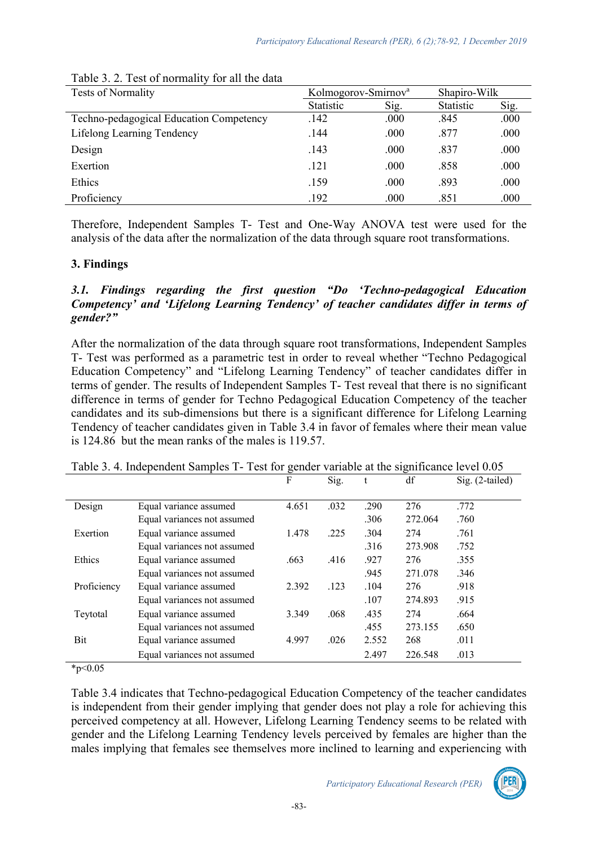| Tests of Normality                      | Kolmogorov-Smirnov <sup>a</sup> |      | Shapiro-Wilk |      |
|-----------------------------------------|---------------------------------|------|--------------|------|
|                                         | <b>Statistic</b>                | Sig. | Statistic    | Sig. |
| Techno-pedagogical Education Competency | .142                            | .000 | .845         | .000 |
| Lifelong Learning Tendency              | .144                            | .000 | .877         | .000 |
| Design                                  | .143                            | .000 | .837         | .000 |
| Exertion                                | .121                            | .000 | .858         | .000 |
| Ethics                                  | .159                            | .000 | .893         | .000 |
| Proficiency                             | .192                            | .000 | .851         | .000 |

| Table 3. 2. Test of normality for all the data |  |  |  |  |  |  |  |  |  |
|------------------------------------------------|--|--|--|--|--|--|--|--|--|
|------------------------------------------------|--|--|--|--|--|--|--|--|--|

Therefore, Independent Samples T- Test and One-Way ANOVA test were used for the analysis of the data after the normalization of the data through square root transformations.

## **3. Findings**

### *3.1. Findings regarding the first question "Do 'Techno-pedagogical Education Competency' and 'Lifelong Learning Tendency' of teacher candidates differ in terms of gender?"*

After the normalization of the data through square root transformations, Independent Samples T- Test was performed as a parametric test in order to reveal whether "Techno Pedagogical Education Competency" and "Lifelong Learning Tendency" of teacher candidates differ in terms of gender. The results of Independent Samples T- Test reveal that there is no significant difference in terms of gender for Techno Pedagogical Education Competency of the teacher candidates and its sub-dimensions but there is a significant difference for Lifelong Learning Tendency of teacher candidates given in Table 3.4 in favor of females where their mean value is 124.86 but the mean ranks of the males is 119.57.

|             |                             | F     | Sig. |       | df      | Sig. (2-tailed) |
|-------------|-----------------------------|-------|------|-------|---------|-----------------|
|             |                             |       |      |       |         |                 |
| Design      | Equal variance assumed      | 4.651 | .032 | .290  | 276     | .772            |
|             | Equal variances not assumed |       |      | .306  | 272.064 | .760            |
| Exertion    | Equal variance assumed      | 1.478 | .225 | .304  | 274     | .761            |
|             | Equal variances not assumed |       |      | .316  | 273.908 | .752            |
| Ethics      | Equal variance assumed      | .663  | .416 | .927  | 276     | .355            |
|             | Equal variances not assumed |       |      | .945  | 271.078 | .346            |
| Proficiency | Equal variance assumed      | 2.392 | .123 | .104  | 276     | .918            |
|             | Equal variances not assumed |       |      | .107  | 274.893 | .915            |
| Teytotal    | Equal variance assumed      | 3.349 | .068 | .435  | 274     | .664            |
|             | Equal variances not assumed |       |      | .455  | 273.155 | .650            |
| Bit         | Equal variance assumed      | 4.997 | .026 | 2.552 | 268     | .011            |
|             | Equal variances not assumed |       |      | 2.497 | 226.548 | .013            |

### Table 3. 4. Independent Samples T- Test for gender variable at the significance level 0.05

 $\overline{*}_{p<0.05}$ 

Table 3.4 indicates that Techno-pedagogical Education Competency of the teacher candidates is independent from their gender implying that gender does not play a role for achieving this perceived competency at all. However, Lifelong Learning Tendency seems to be related with gender and the Lifelong Learning Tendency levels perceived by females are higher than the males implying that females see themselves more inclined to learning and experiencing with

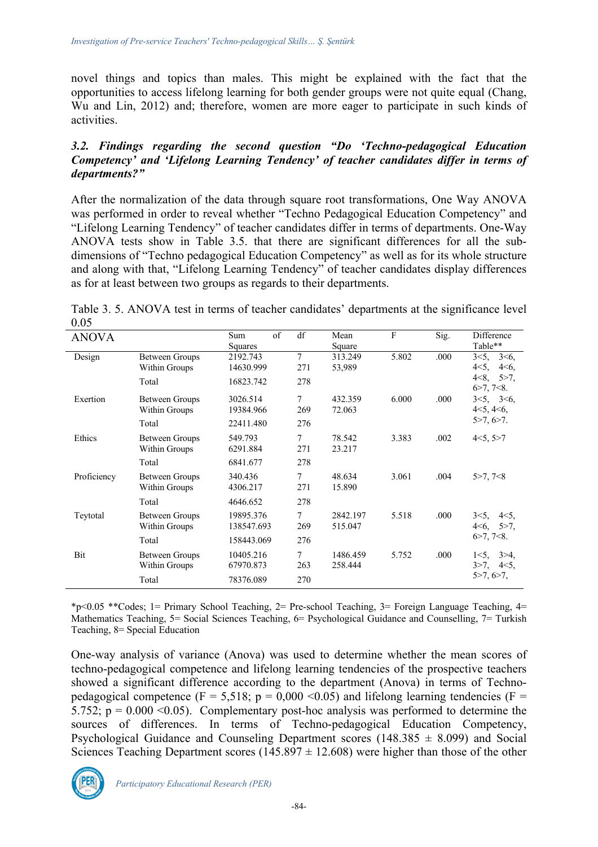novel things and topics than males. This might be explained with the fact that the opportunities to access lifelong learning for both gender groups were not quite equal (Chang, Wu and Lin, 2012) and; therefore, women are more eager to participate in such kinds of activities.

## *3.2. Findings regarding the second question "Do 'Techno-pedagogical Education Competency' and 'Lifelong Learning Tendency' of teacher candidates differ in terms of departments?"*

After the normalization of the data through square root transformations, One Way ANOVA was performed in order to reveal whether "Techno Pedagogical Education Competency" and "Lifelong Learning Tendency" of teacher candidates differ in terms of departments. One-Way ANOVA tests show in Table 3.5. that there are significant differences for all the subdimensions of "Techno pedagogical Education Competency" as well as for its whole structure and along with that, "Lifelong Learning Tendency" of teacher candidates display differences as for at least between two groups as regards to their departments.

Table 3. 5. ANOVA test in terms of teacher candidates' departments at the significance level 0.05

| <b>ANOVA</b> |                                 | of<br>Sum<br>Squares    | df            | Mean<br>Square      | $\mathbf{F}$ | Sig. | Difference<br>Table**                   |
|--------------|---------------------------------|-------------------------|---------------|---------------------|--------------|------|-----------------------------------------|
| Design       | Between Groups<br>Within Groups | 2192.743<br>14630.999   | $\tau$<br>271 | 313.249<br>53,989   | 5.802        | .000 | $3 < 6$ ,<br>$3<5$ ,<br>$4<6$ ,<br>4<5, |
|              | Total                           | 16823.742               | 278           |                     |              |      | 4<8, 5>7,<br>6 > 7, 7 < 8.              |
| Exertion     | Between Groups<br>Within Groups | 3026.514<br>19384.966   | $\tau$<br>269 | 432.359<br>72.063   | 6.000        | .000 | $3<5$ , $3<6$ ,<br>4<5, 4<6,            |
|              | Total                           | 22411.480               | 276           |                     |              |      | 5>7, 6>7.                               |
| Ethics       | Between Groups<br>Within Groups | 549.793<br>6291.884     | $\tau$<br>271 | 78.542<br>23.217    | 3.383        | .002 | 4<5, 5>7                                |
|              | Total                           | 6841.677                | 278           |                     |              |      |                                         |
| Proficiency  | Between Groups<br>Within Groups | 340.436<br>4306.217     | 7<br>271      | 48.634<br>15.890    | 3.061        | .004 | 5 > 7, 7 < 8                            |
|              | Total                           | 4646.652                | 278           |                     |              |      |                                         |
| Teytotal     | Between Groups<br>Within Groups | 19895.376<br>138547.693 | 7<br>269      | 2842.197<br>515.047 | 5.518        | .000 | 3<5, 4<5,<br>4 < 6, 5 > 7,              |
|              | Total                           | 158443.069              | 276           |                     |              |      | 6 > 7, 7 < 8.                           |
| Bit          | Between Groups<br>Within Groups | 10405.216<br>67970.873  | $\tau$<br>263 | 1486.459<br>258.444 | 5.752        | .000 | $1<5$ , $3>4$ ,<br>$3>7$ , $4<5$ ,      |
|              | Total                           | 78376.089               | 270           |                     |              |      | 5>7, 6>7,                               |

\*p<0.05 \*\*Codes; 1= Primary School Teaching, 2= Pre-school Teaching, 3= Foreign Language Teaching, 4= Mathematics Teaching, 5= Social Sciences Teaching, 6= Psychological Guidance and Counselling, 7= Turkish Teaching, 8= Special Education

One-way analysis of variance (Anova) was used to determine whether the mean scores of techno-pedagogical competence and lifelong learning tendencies of the prospective teachers showed a significant difference according to the department (Anova) in terms of Technopedagogical competence ( $F = 5,518$ ;  $p = 0,000 \le 0.05$ ) and lifelong learning tendencies ( $F =$ 5.752;  $p = 0.000 \le 0.05$ ). Complementary post-hoc analysis was performed to determine the sources of differences. In terms of Techno-pedagogical Education Competency, Psychological Guidance and Counseling Department scores (148.385  $\pm$  8.099) and Social Sciences Teaching Department scores ( $145.897 \pm 12.608$ ) were higher than those of the other

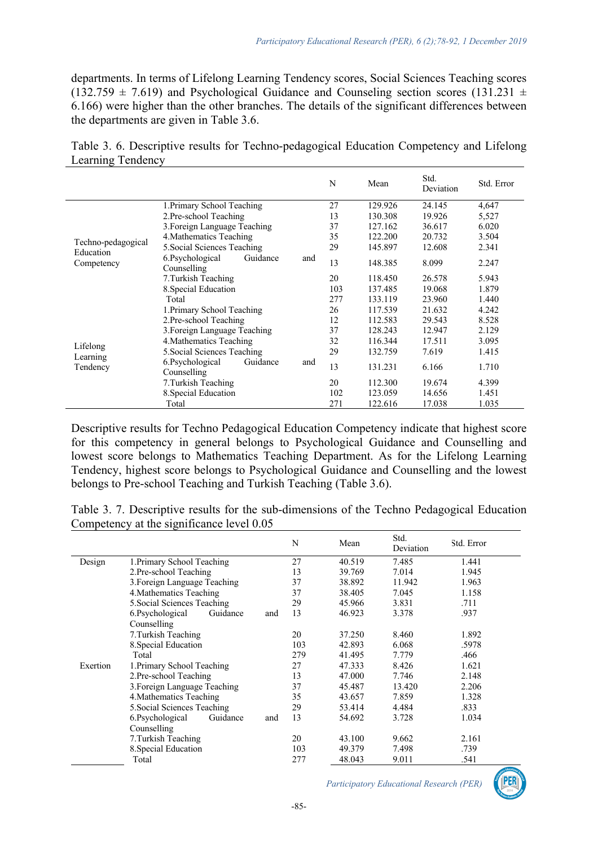departments. In terms of Lifelong Learning Tendency scores, Social Sciences Teaching scores (132.759  $\pm$  7.619) and Psychological Guidance and Counseling section scores (131.231  $\pm$ 6.166) were higher than the other branches. The details of the significant differences between the departments are given in Table 3.6.

Table 3. 6. Descriptive results for Techno-pedagogical Education Competency and Lifelong Learning Tendency

|                                 |                                             |     | N   | Mean    | Std.<br>Deviation | Std. Error |
|---------------------------------|---------------------------------------------|-----|-----|---------|-------------------|------------|
|                                 | 1. Primary School Teaching                  |     | 27  | 129.926 | 24.145            | 4,647      |
|                                 | 2.Pre-school Teaching                       |     | 13  | 130.308 | 19.926            | 5,527      |
|                                 | 3. Foreign Language Teaching                |     | 37  | 127.162 | 36.617            | 6.020      |
|                                 | 4. Mathematics Teaching                     |     | 35  | 122.200 | 20.732            | 3.504      |
| Techno-pedagogical<br>Education | 5. Social Sciences Teaching                 |     | 29  | 145.897 | 12.608            | 2.341      |
| Competency                      | 6.Psychological<br>Guidance<br>Counselling  | and | 13  | 148.385 | 8.099             | 2.247      |
|                                 | 7. Turkish Teaching                         |     | 20  | 118.450 | 26.578            | 5.943      |
|                                 | 8. Special Education                        |     | 103 | 137.485 | 19.068            | 1.879      |
|                                 | Total                                       |     | 277 | 133.119 | 23.960            | 1.440      |
|                                 | 1. Primary School Teaching                  |     | 26  | 117.539 | 21.632            | 4.242      |
|                                 | 2. Pre-school Teaching                      |     | 12  | 112.583 | 29.543            | 8.528      |
|                                 | 3. Foreign Language Teaching                |     | 37  | 128.243 | 12.947            | 2.129      |
| Lifelong                        | 4. Mathematics Teaching                     |     | 32  | 116.344 | 17.511            | 3.095      |
|                                 | 5. Social Sciences Teaching                 |     | 29  | 132.759 | 7.619             | 1.415      |
| Learning<br>Tendency            | 6. Psychological<br>Guidance<br>Counselling | and | 13  | 131.231 | 6.166             | 1.710      |
|                                 | 7. Turkish Teaching                         |     | 20  | 112.300 | 19.674            | 4.399      |
|                                 | 8. Special Education                        |     | 102 | 123.059 | 14.656            | 1.451      |
|                                 | Total                                       |     | 271 | 122.616 | 17.038            | 1.035      |

Descriptive results for Techno Pedagogical Education Competency indicate that highest score for this competency in general belongs to Psychological Guidance and Counselling and lowest score belongs to Mathematics Teaching Department. As for the Lifelong Learning Tendency, highest score belongs to Psychological Guidance and Counselling and the lowest belongs to Pre-school Teaching and Turkish Teaching (Table 3.6).

Table 3. 7. Descriptive results for the sub-dimensions of the Techno Pedagogical Education Competency at the significance level 0.05

|          |                              |     | N   | Mean   | Std.<br>Deviation | Std. Error |
|----------|------------------------------|-----|-----|--------|-------------------|------------|
| Design   | 1. Primary School Teaching   |     | 27  | 40.519 | 7.485             | 1.441      |
|          | 2. Pre-school Teaching       |     | 13  | 39.769 | 7.014             | 1.945      |
|          | 3. Foreign Language Teaching |     | 37  | 38.892 | 11.942            | 1.963      |
|          | 4. Mathematics Teaching      |     | 37  | 38.405 | 7.045             | 1.158      |
|          | 5. Social Sciences Teaching  |     | 29  | 45.966 | 3.831             | .711       |
|          | 6. Psychological<br>Guidance | and | 13  | 46.923 | 3.378             | .937       |
|          | Counselling                  |     |     |        |                   |            |
|          | 7. Turkish Teaching          |     | 20  | 37.250 | 8.460             | 1.892      |
|          | 8. Special Education         |     | 103 | 42.893 | 6.068             | .5978      |
|          | Total                        |     | 279 | 41.495 | 7.779             | .466       |
| Exertion | 1. Primary School Teaching   |     | 27  | 47.333 | 8.426             | 1.621      |
|          | 2.Pre-school Teaching        |     | 13  | 47.000 | 7.746             | 2.148      |
|          | 3. Foreign Language Teaching |     | 37  | 45.487 | 13.420            | 2.206      |
|          | 4. Mathematics Teaching      |     | 35  | 43.657 | 7.859             | 1.328      |
|          | 5. Social Sciences Teaching  |     | 29  | 53.414 | 4.484             | .833       |
|          | 6.Psychological<br>Guidance  | and | 13  | 54.692 | 3.728             | 1.034      |
|          | Counselling                  |     |     |        |                   |            |
|          | 7. Turkish Teaching          |     | 20  | 43.100 | 9.662             | 2.161      |
|          | 8. Special Education         |     | 103 | 49.379 | 7.498             | .739       |
|          | Total                        |     | 277 | 48.043 | 9.011             | .541       |

*Participatory Educational Research (PER)*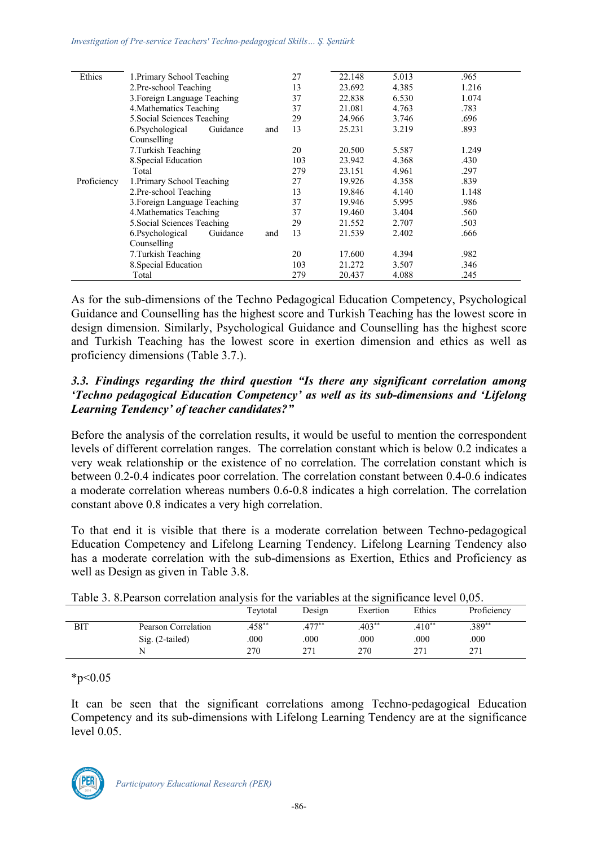| Investigation of Pre-service Teachers' Techno-pedagogical Skills Ş. Şentürk |  |  |
|-----------------------------------------------------------------------------|--|--|
|-----------------------------------------------------------------------------|--|--|

|                      |                                                                                                                                                                                                                                                                                                                          | 27  | 22.148 | 5.013 | .965  |
|----------------------|--------------------------------------------------------------------------------------------------------------------------------------------------------------------------------------------------------------------------------------------------------------------------------------------------------------------------|-----|--------|-------|-------|
|                      |                                                                                                                                                                                                                                                                                                                          | 13  | 23.692 | 4.385 | 1.216 |
|                      |                                                                                                                                                                                                                                                                                                                          | 37  | 22.838 | 6.530 | 1.074 |
|                      |                                                                                                                                                                                                                                                                                                                          | 37  | 21.081 | 4.763 | .783  |
|                      |                                                                                                                                                                                                                                                                                                                          | 29  | 24.966 | 3.746 | .696  |
| 6.Psychological      | and                                                                                                                                                                                                                                                                                                                      | 13  | 25.231 | 3.219 | .893  |
| Counselling          |                                                                                                                                                                                                                                                                                                                          |     |        |       |       |
| 7. Turkish Teaching  |                                                                                                                                                                                                                                                                                                                          | 20  | 20.500 | 5.587 | 1.249 |
| 8. Special Education |                                                                                                                                                                                                                                                                                                                          | 103 | 23.942 | 4.368 | .430  |
| Total                |                                                                                                                                                                                                                                                                                                                          | 279 | 23.151 | 4.961 | .297  |
|                      |                                                                                                                                                                                                                                                                                                                          | 27  | 19.926 | 4.358 | .839  |
|                      |                                                                                                                                                                                                                                                                                                                          | 13  | 19.846 | 4.140 | 1.148 |
|                      |                                                                                                                                                                                                                                                                                                                          | 37  | 19.946 | 5.995 | .986  |
|                      |                                                                                                                                                                                                                                                                                                                          | 37  | 19.460 | 3.404 | .560  |
|                      |                                                                                                                                                                                                                                                                                                                          | 29  | 21.552 | 2.707 | .503  |
| 6.Psychological      | and                                                                                                                                                                                                                                                                                                                      | 13  | 21.539 | 2.402 | .666  |
| Counselling          |                                                                                                                                                                                                                                                                                                                          |     |        |       |       |
| 7. Turkish Teaching  |                                                                                                                                                                                                                                                                                                                          | 20  | 17.600 | 4.394 | .982  |
| 8. Special Education |                                                                                                                                                                                                                                                                                                                          | 103 | 21.272 | 3.507 | .346  |
| Total                |                                                                                                                                                                                                                                                                                                                          | 279 | 20.437 | 4.088 | .245  |
|                      | 1. Primary School Teaching<br>2. Pre-school Teaching<br>3. Foreign Language Teaching<br>4. Mathematics Teaching<br>5. Social Sciences Teaching<br>Guidance<br>1. Primary School Teaching<br>2. Pre-school Teaching<br>3. Foreign Language Teaching<br>4. Mathematics Teaching<br>5. Social Sciences Teaching<br>Guidance |     |        |       |       |

As for the sub-dimensions of the Techno Pedagogical Education Competency, Psychological Guidance and Counselling has the highest score and Turkish Teaching has the lowest score in design dimension. Similarly, Psychological Guidance and Counselling has the highest score and Turkish Teaching has the lowest score in exertion dimension and ethics as well as proficiency dimensions (Table 3.7.).

### *3.3. Findings regarding the third question "Is there any significant correlation among 'Techno pedagogical Education Competency' as well as its sub-dimensions and 'Lifelong Learning Tendency' of teacher candidates?"*

Before the analysis of the correlation results, it would be useful to mention the correspondent levels of different correlation ranges. The correlation constant which is below 0.2 indicates a very weak relationship or the existence of no correlation. The correlation constant which is between 0.2-0.4 indicates poor correlation. The correlation constant between 0.4-0.6 indicates a moderate correlation whereas numbers 0.6-0.8 indicates a high correlation. The correlation constant above 0.8 indicates a very high correlation.

To that end it is visible that there is a moderate correlation between Techno-pedagogical Education Competency and Lifelong Learning Tendency. Lifelong Learning Tendency also has a moderate correlation with the sub-dimensions as Exertion, Ethics and Proficiency as well as Design as given in Table 3.8.

| Table 5. S. Pearson correlation analysis for the variables at the significance level $0.05$ . |                     |          |           |          |          |             |  |  |
|-----------------------------------------------------------------------------------------------|---------------------|----------|-----------|----------|----------|-------------|--|--|
|                                                                                               |                     | Tevtotal | Design    | Exertion | Ethics   | Proficiency |  |  |
| <b>BIT</b>                                                                                    | Pearson Correlation | $.458**$ | $.477***$ | $.403**$ | $.410**$ | .389**      |  |  |
|                                                                                               | $Sig. (2-tailed)$   | .000     | .000      | .000     | .000     | .000        |  |  |
|                                                                                               |                     | 270      | 271       | 270      | 271      | 271         |  |  |

#### $*_{p<0.05}$

It can be seen that the significant correlations among Techno-pedagogical Education Competency and its sub-dimensions with Lifelong Learning Tendency are at the significance level 0.05.

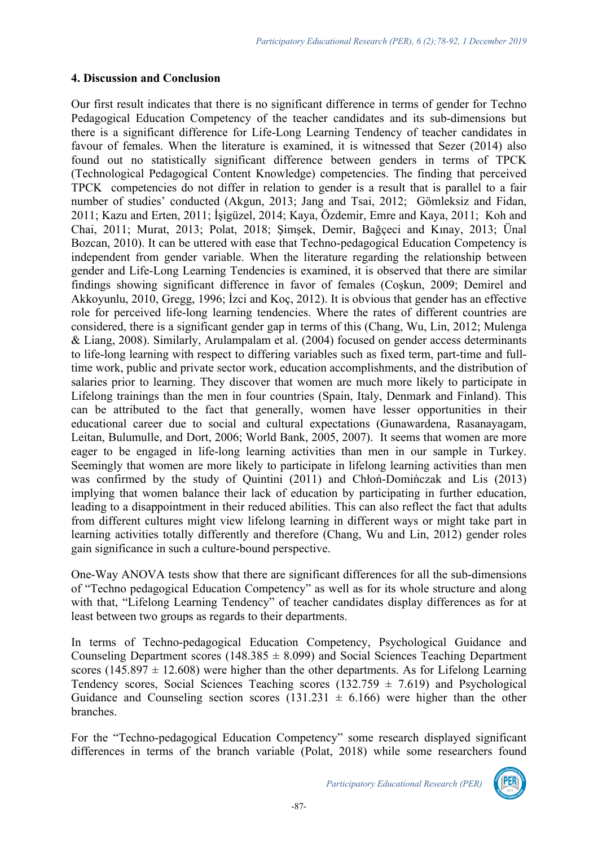#### **4. Discussion and Conclusion**

Our first result indicates that there is no significant difference in terms of gender for Techno Pedagogical Education Competency of the teacher candidates and its sub-dimensions but there is a significant difference for Life-Long Learning Tendency of teacher candidates in favour of females. When the literature is examined, it is witnessed that Sezer (2014) also found out no statistically significant difference between genders in terms of TPCK (Technological Pedagogical Content Knowledge) competencies. The finding that perceived TPCK competencies do not differ in relation to gender is a result that is parallel to a fair number of studies' conducted (Akgun, 2013; Jang and Tsai, 2012; Gömleksiz and Fidan, 2011; Kazu and Erten, 2011; İşigüzel, 2014; Kaya, Özdemir, Emre and Kaya, 2011; Koh and Chai, 2011; Murat, 2013; Polat, 2018; Şimşek, Demir, Bağçeci and Kınay, 2013; Ünal Bozcan, 2010). It can be uttered with ease that Techno-pedagogical Education Competency is independent from gender variable. When the literature regarding the relationship between gender and Life-Long Learning Tendencies is examined, it is observed that there are similar findings showing significant difference in favor of females (Coşkun, 2009; Demirel and Akkoyunlu, 2010, Gregg, 1996; İzci and Koç, 2012). It is obvious that gender has an effective role for perceived life-long learning tendencies. Where the rates of different countries are considered, there is a significant gender gap in terms of this (Chang, Wu, Lin, 2012; Mulenga & Liang, 2008). Similarly, Arulampalam et al. (2004) focused on gender access determinants to life-long learning with respect to differing variables such as fixed term, part-time and fulltime work, public and private sector work, education accomplishments, and the distribution of salaries prior to learning. They discover that women are much more likely to participate in Lifelong trainings than the men in four countries (Spain, Italy, Denmark and Finland). This can be attributed to the fact that generally, women have lesser opportunities in their educational career due to social and cultural expectations (Gunawardena, Rasanayagam, Leitan, Bulumulle, and Dort, 2006; World Bank, 2005, 2007). It seems that women are more eager to be engaged in life-long learning activities than men in our sample in Turkey. Seemingly that women are more likely to participate in lifelong learning activities than men was confirmed by the study of Quintini (2011) and Chłoń-Domińczak and Lis (2013) implying that women balance their lack of education by participating in further education, leading to a disappointment in their reduced abilities. This can also reflect the fact that adults from different cultures might view lifelong learning in different ways or might take part in learning activities totally differently and therefore (Chang, Wu and Lin, 2012) gender roles gain significance in such a culture-bound perspective.

One-Way ANOVA tests show that there are significant differences for all the sub-dimensions of "Techno pedagogical Education Competency" as well as for its whole structure and along with that, "Lifelong Learning Tendency" of teacher candidates display differences as for at least between two groups as regards to their departments.

In terms of Techno-pedagogical Education Competency, Psychological Guidance and Counseling Department scores ( $148.385 \pm 8.099$ ) and Social Sciences Teaching Department scores (145.897  $\pm$  12.608) were higher than the other departments. As for Lifelong Learning Tendency scores, Social Sciences Teaching scores (132.759  $\pm$  7.619) and Psychological Guidance and Counseling section scores (131.231  $\pm$  6.166) were higher than the other branches.

For the "Techno-pedagogical Education Competency" some research displayed significant differences in terms of the branch variable (Polat, 2018) while some researchers found

*Participatory Educational Research (PER)*

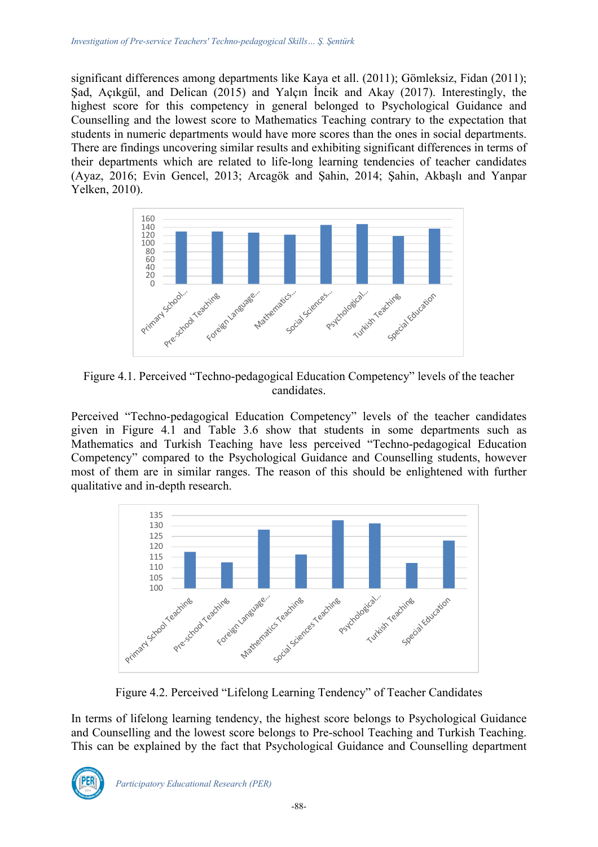significant differences among departments like Kaya et all. (2011); Gömleksiz, Fidan (2011); Şad, Açıkgül, and Delican (2015) and Yalçın İncik and Akay (2017). Interestingly, the highest score for this competency in general belonged to Psychological Guidance and Counselling and the lowest score to Mathematics Teaching contrary to the expectation that students in numeric departments would have more scores than the ones in social departments. There are findings uncovering similar results and exhibiting significant differences in terms of their departments which are related to life-long learning tendencies of teacher candidates (Ayaz, 2016; Evin Gencel, 2013; Arcagök and Şahin, 2014; Şahin, Akbaşlı and Yanpar Yelken, 2010).



Figure 4.1. Perceived "Techno-pedagogical Education Competency" levels of the teacher candidates.

Perceived "Techno-pedagogical Education Competency" levels of the teacher candidates given in Figure 4.1 and Table 3.6 show that students in some departments such as Mathematics and Turkish Teaching have less perceived "Techno-pedagogical Education Competency" compared to the Psychological Guidance and Counselling students, however most of them are in similar ranges. The reason of this should be enlightened with further qualitative and in-depth research.



Figure 4.2. Perceived "Lifelong Learning Tendency" of Teacher Candidates

In terms of lifelong learning tendency, the highest score belongs to Psychological Guidance and Counselling and the lowest score belongs to Pre-school Teaching and Turkish Teaching. This can be explained by the fact that Psychological Guidance and Counselling department

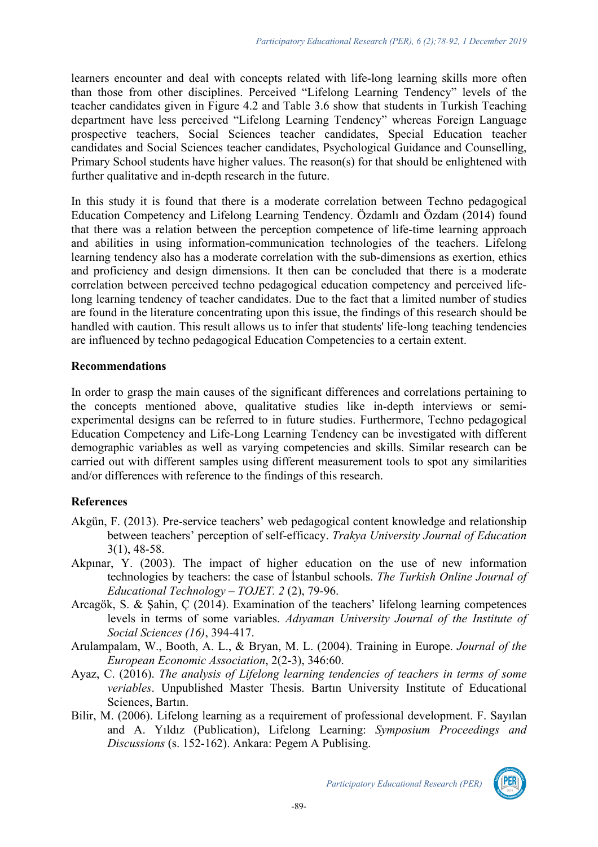learners encounter and deal with concepts related with life-long learning skills more often than those from other disciplines. Perceived "Lifelong Learning Tendency" levels of the teacher candidates given in Figure 4.2 and Table 3.6 show that students in Turkish Teaching department have less perceived "Lifelong Learning Tendency" whereas Foreign Language prospective teachers, Social Sciences teacher candidates, Special Education teacher candidates and Social Sciences teacher candidates, Psychological Guidance and Counselling, Primary School students have higher values. The reason(s) for that should be enlightened with further qualitative and in-depth research in the future.

In this study it is found that there is a moderate correlation between Techno pedagogical Education Competency and Lifelong Learning Tendency. Özdamlı and Özdam (2014) found that there was a relation between the perception competence of life-time learning approach and abilities in using information-communication technologies of the teachers. Lifelong learning tendency also has a moderate correlation with the sub-dimensions as exertion, ethics and proficiency and design dimensions. It then can be concluded that there is a moderate correlation between perceived techno pedagogical education competency and perceived lifelong learning tendency of teacher candidates. Due to the fact that a limited number of studies are found in the literature concentrating upon this issue, the findings of this research should be handled with caution. This result allows us to infer that students' life-long teaching tendencies are influenced by techno pedagogical Education Competencies to a certain extent.

#### **Recommendations**

In order to grasp the main causes of the significant differences and correlations pertaining to the concepts mentioned above, qualitative studies like in-depth interviews or semiexperimental designs can be referred to in future studies. Furthermore, Techno pedagogical Education Competency and Life-Long Learning Tendency can be investigated with different demographic variables as well as varying competencies and skills. Similar research can be carried out with different samples using different measurement tools to spot any similarities and/or differences with reference to the findings of this research.

### **References**

- Akgün, F. (2013). Pre-service teachers' web pedagogical content knowledge and relationship between teachers' perception of self-efficacy. *Trakya University Journal of Education* 3(1), 48-58.
- Akpınar, Y. (2003). The impact of higher education on the use of new information technologies by teachers: the case of İstanbul schools. *The Turkish Online Journal of Educational Technology – TOJET. 2* (2), 79-96.
- Arcagök, S. & Şahin, Ç (2014). Examination of the teachers' lifelong learning competences levels in terms of some variables. *Adıyaman University Journal of the Institute of Social Sciences (16)*, 394-417.
- Arulampalam, W., Booth, A. L., & Bryan, M. L. (2004). Training in Europe. *Journal of the European Economic Association*, 2(2-3), 346:60.
- Ayaz, C. (2016). *The analysis of Lifelong learning tendencies of teachers in terms of some veriables*. Unpublished Master Thesis. Bartın University Institute of Educational Sciences, Bartın.
- Bilir, M. (2006). Lifelong learning as a requirement of professional development. F. Sayılan and A. Yıldız (Publication), Lifelong Learning: *Symposium Proceedings and Discussions* (s. 152-162). Ankara: Pegem A Publising.



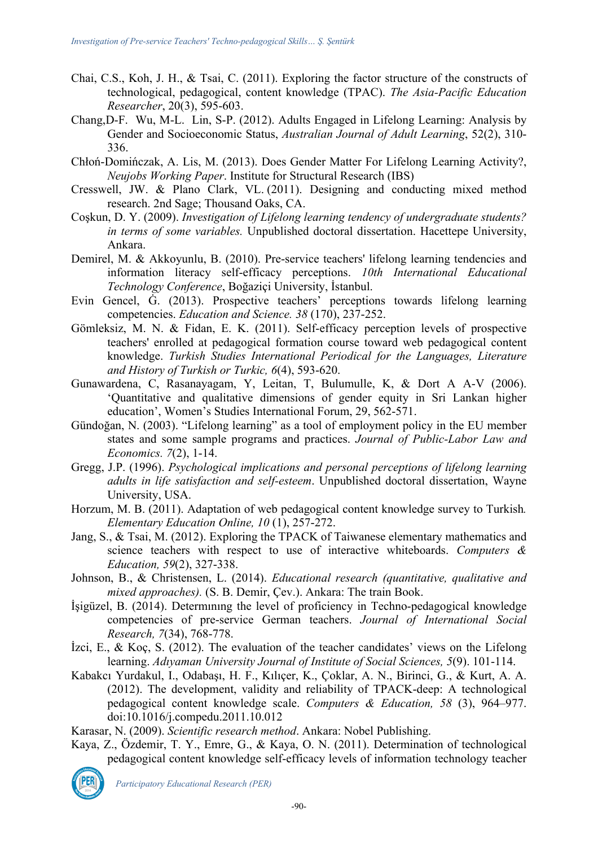- Chai, C.S., Koh, J. H., & Tsai, C. (2011). Exploring the factor structure of the constructs of technological, pedagogical, content knowledge (TPAC). *The Asia-Pacific Education Researcher*, 20(3), 595-603.
- Chang,D-F. Wu, M-L. Lin, S-P. (2012). Adults Engaged in Lifelong Learning: Analysis by Gender and Socioeconomic Status, *Australian Journal of Adult Learning*, 52(2), 310- 336.
- Chłoń-Domińczak, A. Lis, M. (2013). Does Gender Matter For Lifelong Learning Activity?, *Neujobs Working Paper*. Institute for Structural Research (IBS)
- Cresswell, JW. & Plano Clark, VL. (2011). Designing and conducting mixed method research. 2nd Sage; Thousand Oaks, CA.
- Coşkun, D. Y. (2009). *Investigation of Lifelong learning tendency of undergraduate students? in terms of some variables.* Unpublished doctoral dissertation. Hacettepe University, Ankara.
- Demirel, M. & Akkoyunlu, B. (2010). Pre-service teachers' lifelong learning tendencies and information literacy self-efficacy perceptions. *10th International Educational Technology Conference*, Boğaziçi University, İstanbul.
- Evin Gencel, Ġ. (2013). Prospective teachers' perceptions towards lifelong learning competencies. *Education and Science. 38* (170), 237-252.
- Gömleksiz, M. N. & Fidan, E. K. (2011). Self-efficacy perception levels of prospective teachers' enrolled at pedagogical formation course toward web pedagogical content knowledge. *Turkish Studies International Periodical for the Languages, Literature and History of Turkish or Turkic, 6*(4), 593-620.
- Gunawardena, C, Rasanayagam, Y, Leitan, T, Bulumulle, K, & Dort A A-V (2006). 'Quantitative and qualitative dimensions of gender equity in Sri Lankan higher education', Women's Studies International Forum, 29, 562-571.
- Gündoğan, N. (2003). "Lifelong learning" as a tool of employment policy in the EU member states and some sample programs and practices. *Journal of Public-Labor Law and Economics. 7*(2), 1-14.
- Gregg, J.P. (1996). *Psychological implications and personal perceptions of lifelong learning adults in life satisfaction and self-esteem*. Unpublished doctoral dissertation, Wayne University, USA.
- Horzum, M. B. (2011). Adaptation of web pedagogical content knowledge survey to Turkish*. Elementary Education Online, 10* (1), 257-272.
- Jang, S., & Tsai, M. (2012). Exploring the TPACK of Taiwanese elementary mathematics and science teachers with respect to use of interactive whiteboards. *Computers & Education, 59*(2), 327-338.
- Johnson, B., & Christensen, L. (2014). *Educational research (quantitative, qualitative and mixed approaches).* (S. B. Demir, Çev.). Ankara: The train Book.
- İşigüzel, B. (2014). Determınıng the level of proficiency in Techno-pedagogical knowledge competencies of pre-service German teachers. *Journal of International Social Research, 7*(34), 768-778.
- İzci, E., & Koç, S. (2012). The evaluation of the teacher candidates' views on the Lifelong learning. *Adıyaman University Journal of Institute of Social Sciences, 5*(9). 101-114.
- Kabakcı Yurdakul, I., Odabaşı, H. F., Kılıçer, K., Çoklar, A. N., Birinci, G., & Kurt, A. A. (2012). The development, validity and reliability of TPACK-deep: A technological pedagogical content knowledge scale. *Computers & Education, 58* (3), 964–977. doi:10.1016/j.compedu.2011.10.012

Karasar, N. (2009). *Scientific research method*. Ankara: Nobel Publishing.

Kaya, Z., Özdemir, T. Y., Emre, G., & Kaya, O. N. (2011). Determination of technological pedagogical content knowledge self-efficacy levels of information technology teacher

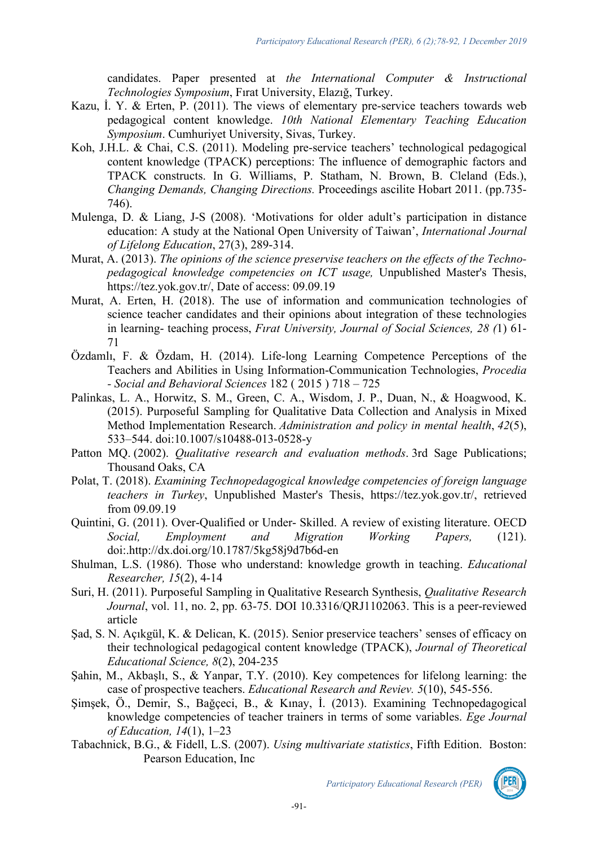candidates. Paper presented at *the International Computer & Instructional Technologies Symposium*, Fırat University, Elazığ, Turkey.

- Kazu, İ. Y. & Erten, P. (2011). The views of elementary pre-service teachers towards web pedagogical content knowledge. *10th National Elementary Teaching Education Symposium*. Cumhuriyet University, Sivas, Turkey.
- Koh, J.H.L. & Chai, C.S. (2011). Modeling pre-service teachers' technological pedagogical content knowledge (TPACK) perceptions: The influence of demographic factors and TPACK constructs. In G. Williams, P. Statham, N. Brown, B. Cleland (Eds.), *Changing Demands, Changing Directions.* Proceedings ascilite Hobart 2011. (pp.735- 746).
- Mulenga, D. & Liang, J-S (2008). 'Motivations for older adult's participation in distance education: A study at the National Open University of Taiwan', *International Journal of Lifelong Education*, 27(3), 289-314.
- Murat, A. (2013). *The opinions of the science preservise teachers on the effects of the Technopedagogical knowledge competencies on ICT usage,* Unpublished Master's Thesis, https://tez.yok.gov.tr/, Date of access: 09.09.19
- Murat, A. Erten, H. (2018). The use of information and communication technologies of science teacher candidates and their opinions about integration of these technologies in learning- teaching process, *Fırat University, Journal of Social Sciences, 28 (*1) 61- 71
- Özdamlı, F. & Özdam, H. (2014). Life-long Learning Competence Perceptions of the Teachers and Abilities in Using Information-Communication Technologies, *Procedia - Social and Behavioral Sciences* 182 ( 2015 ) 718 – 725
- Palinkas, L. A., Horwitz, S. M., Green, C. A., Wisdom, J. P., Duan, N., & Hoagwood, K. (2015). Purposeful Sampling for Qualitative Data Collection and Analysis in Mixed Method Implementation Research. *Administration and policy in mental health*, *42*(5), 533–544. doi:10.1007/s10488-013-0528-y
- Patton MQ. (2002). *Qualitative research and evaluation methods*. 3rd Sage Publications; Thousand Oaks, CA
- Polat, T. (2018). *Examining Technopedagogical knowledge competencies of foreign language teachers in Turkey*, Unpublished Master's Thesis, https://tez.yok.gov.tr/, retrieved from 09.09.19
- Quintini, G. (2011). Over-Qualified or Under- Skilled. A review of existing literature. OECD *Social, Employment and Migration Working Papers,* (121). doi:.http://dx.doi.org/10.1787/5kg58j9d7b6d-en
- Shulman, L.S. (1986). Those who understand: knowledge growth in teaching. *Educational Researcher, 15*(2), 4-14
- Suri, H. (2011). Purposeful Sampling in Qualitative Research Synthesis, *Qualitative Research Journal*, vol. 11, no. 2, pp. 63-75. DOI 10.3316/QRJ1102063. This is a peer-reviewed article
- Şad, S. N. Açıkgül, K. & Delican, K. (2015). Senior preservice teachers' senses of efficacy on their technological pedagogical content knowledge (TPACK), *Journal of Theoretical Educational Science, 8*(2), 204-235
- Şahin, M., Akbaşlı, S., & Yanpar, T.Y. (2010). Key competences for lifelong learning: the case of prospective teachers. *Educational Research and Reviev. 5*(10), 545-556.
- Şimşek, Ö., Demir, S., Bağçeci, B., & Kınay, İ. (2013). Examining Technopedagogical knowledge competencies of teacher trainers in terms of some variables. *Ege Journal of Education, 14*(1), 1–23
- Tabachnick, B.G., & Fidell, L.S. (2007). *Using multivariate statistics*, Fifth Edition. Boston: Pearson Education, Inc